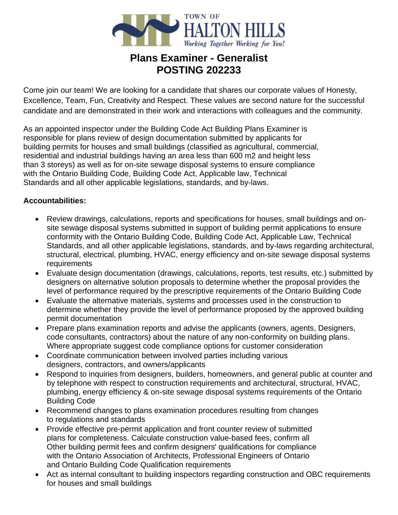

# **Plans Examiner - Generalist POSTING 202233**

Come join our team! We are looking for a candidate that shares our corporate values of Honesty, Excellence, Team, Fun, Creativity and Respect. These values are second nature for the successful candidate and are demonstrated in their work and interactions with colleagues and the community.

As an appointed inspector under the Building Code Act Building Plans Examiner is responsible for plans review of design documentation submitted by applicants for building permits for houses and small buildings (classified as agricultural, commercial, residential and industrial buildings having an area less than 600 m2 and height less than 3 storeys) as well as for on-site sewage disposal systems to ensure compliance with the Ontario Building Code, Building Code Act, Applicable law, Technical Standards and all other applicable legislations, standards, and by-laws.

### **Accountabilities:**

- Review drawings, calculations, reports and specifications for houses, small buildings and onsite sewage disposal systems submitted in support of building permit applications to ensure conformity with the Ontario Building Code, Building Code Act, Applicable Law, Technical Standards, and all other applicable legislations, standards, and by-laws regarding architectural, structural, electrical, plumbing, HVAC, energy efficiency and on-site sewage disposal systems requirements
- Evaluate design documentation (drawings, calculations, reports, test results, etc.) submitted by designers on alternative solution proposals to determine whether the proposal provides the level of performance required by the prescriptive requirements of the Ontario Building Code
- Evaluate the alternative materials, systems and processes used in the construction to determine whether they provide the level of performance proposed by the approved building permit documentation
- Prepare plans examination reports and advise the applicants (owners, agents, Designers, code consultants, contractors) about the nature of any non-conformity on building plans. Where appropriate suggest code compliance options for customer consideration
- Coordinate communication between involved parties including various designers, contractors, and owners/applicants
- Respond to inquiries from designers, builders, homeowners, and general public at counter and by telephone with respect to construction requirements and architectural, structural, HVAC, plumbing, energy efficiency & on-site sewage disposal systems requirements of the Ontario Building Code
- Recommend changes to plans examination procedures resulting from changes to regulations and standards
- Provide effective pre-permit application and front counter review of submitted plans for completeness. Calculate construction value-based fees, confirm all Other building permit fees and confirm designers' qualifications for compliance with the Ontario Association of Architects, Professional Engineers of Ontario and Ontario Building Code Qualification requirements
- Act as internal consultant to building inspectors regarding construction and OBC requirements for houses and small buildings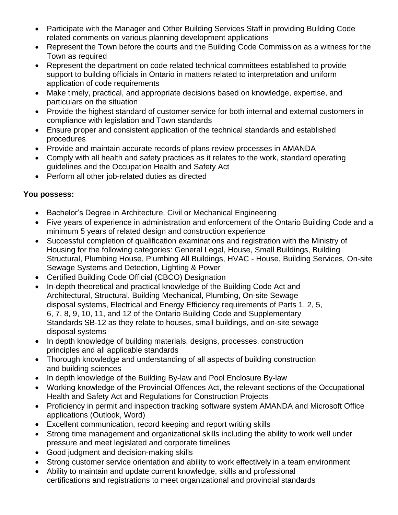- Participate with the Manager and Other Building Services Staff in providing Building Code related comments on various planning development applications
- Represent the Town before the courts and the Building Code Commission as a witness for the Town as required
- Represent the department on code related technical committees established to provide support to building officials in Ontario in matters related to interpretation and uniform application of code requirements
- Make timely, practical, and appropriate decisions based on knowledge, expertise, and particulars on the situation
- Provide the highest standard of customer service for both internal and external customers in compliance with legislation and Town standards
- Ensure proper and consistent application of the technical standards and established procedures
- Provide and maintain accurate records of plans review processes in AMANDA
- Comply with all health and safety practices as it relates to the work, standard operating guidelines and the Occupation Health and Safety Act
- Perform all other job-related duties as directed

## **You possess:**

- Bachelor's Degree in Architecture, Civil or Mechanical Engineering
- Five years of experience in administration and enforcement of the Ontario Building Code and a minimum 5 years of related design and construction experience
- Successful completion of qualification examinations and registration with the Ministry of Housing for the following categories: General Legal, House, Small Buildings, Building Structural, Plumbing House, Plumbing All Buildings, HVAC - House, Building Services, On-site Sewage Systems and Detection, Lighting & Power
- Certified Building Code Official (CBCO) Designation
- In-depth theoretical and practical knowledge of the Building Code Act and Architectural, Structural, Building Mechanical, Plumbing, On-site Sewage disposal systems, Electrical and Energy Efficiency requirements of Parts 1, 2, 5, 6, 7, 8, 9, 10, 11, and 12 of the Ontario Building Code and Supplementary Standards SB-12 as they relate to houses, small buildings, and on-site sewage disposal systems
- In depth knowledge of building materials, designs, processes, construction principles and all applicable standards
- Thorough knowledge and understanding of all aspects of building construction and building sciences
- In depth knowledge of the Building By-law and Pool Enclosure By-law
- Working knowledge of the Provincial Offences Act, the relevant sections of the Occupational Health and Safety Act and Regulations for Construction Projects
- Proficiency in permit and inspection tracking software system AMANDA and Microsoft Office applications (Outlook, Word)
- Excellent communication, record keeping and report writing skills
- Strong time management and organizational skills including the ability to work well under pressure and meet legislated and corporate timelines
- Good judgment and decision-making skills
- Strong customer service orientation and ability to work effectively in a team environment
- Ability to maintain and update current knowledge, skills and professional certifications and registrations to meet organizational and provincial standards